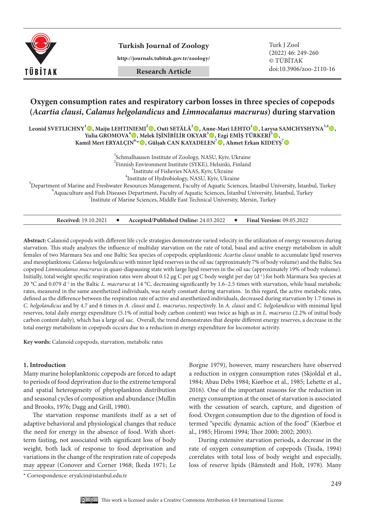

**Turkish Journal of Zoology** Turk J Zool

**http://journals.tubitak.gov.tr/zoology/**

**Research Article**

(2022) 46: 249-260 © TÜBİTAK doi:10.3906/zoo-2110-16

# **Oxygen consumption rates and respiratory carbon losses in three species of copepods (***Acartia clausi***,** *Calanus helgolandicus* **and** *Limnocalanus macrurus***) during starvation**

**Leonid SVETLICHNY<sup>1</sup> , Maiju LEHTINIEMI2 , Outi SETÄLÄ2 , Anne-Mari LEHTO2 , Larysa SAMCHYSHYNA3,4,**  Yulia GROMOVA<sup>4</sup>◉, Melek İŞİNİBİLİR OKYAR<sup>5</sup>◉, Ezgi EMİŞ TÜRKERİ<sup>5</sup>◉, **Kamil Mert ERYALÇIN6,\*, Gülşah CAN KAYADELEN7 , Ahmet Erkan KIDEYŞ<sup>7</sup>**

> 1 Schmalhausen Institute of Zoology, NASU, Kyiv, Ukraine  $\frac{1}{2}$ Finnish Environment Institute (SYKE), Helsinki, Finland  $\frac{3}{2}$ Institute of Eicheriae MAAS, Krity Ukraine  $3$ Institute of Fisheries NAAS, Kyiv, Ukraine  $4$ Institute of Hydrobiology, NASU, Kyiv, Ukraine

Institute of Hydrobiology, NASU, Kyiv, Ukraine<br><sup>5</sup> Department of Marine and Essekunter Bessuress Management, Fasulty of Agustia Scien Department of Marine and Freshwater Resources Management, Faculty of Aquatic Sciences, İstanbul University, İstanbul, Turkey <sup>6</sup>  $^6$ Aquaculture and Fish Diseases Department, Faculty of Aquatic Sciences, İstanbul University, İstanbul, Turkey  $I$ Institute of Marine Sciences, Middle East Technical University, Mersin, Turkey

| <b>Received: 19.10.2021</b> |  | Accepted/Published Online: 24.03.2022 |  | <b>Final Version: 09.05.2022</b> |
|-----------------------------|--|---------------------------------------|--|----------------------------------|
|-----------------------------|--|---------------------------------------|--|----------------------------------|

**Abstract:** Calanoid copepods with different life cycle strategies demonstrate varied velocity in the utilization of energy resources during starvation. This study analyzes the influence of multiday starvation on the rate of total, basal and active energy metabolism in adult females of two Marmara Sea and one Baltic Sea species of copepods; epiplanktonic *Acartia clausi* unable to accumulate lipid reserves and mesoplanktonic *Calanus helgolandicus* with minor lipid reserves in the oil sac (approximately 7% of body volume) and the Baltic Sea copepod *Limnocalanus macrurus* in quasi-diapausing state with large lipid reserves in the oil sac (approximately 19% of body volume). Initially, total weight specific respiration rates were about 0.12 µg C per µg C body weight per day (d<sup>-1</sup>) for both Marmara Sea species at 20 °C and 0.079 d–1 in the Baltic *L. macrurus* at 14 °C, decreasing significantly by 1.6–2.5 times with starvation, while basal metabolic rates, measured in the same anesthetized individuals, was nearly constant during starvation. In this regard, the active metabolic rates, defined as the difference between the respiration rate of active and anesthetized individuals, decreased during starvation by 1.7 times in *C. helgolandicus* and by 4.7 and 6 times in *A. clausi* and *L. macrurus*, respectively. In *A. clausi* and *C. helgolandicus* with minimal lipid reserves, total daily energy expenditure (5.1% of initial body carbon content) was twice as high as in *L. macrurus* (2.2% of initial body carbon content daily)*,* which has a large oil sac. Overall, the trend demonstrates that despite different energy reserves, a decrease in the total energy metabolism in copepods occurs due to a reduction in energy expenditure for locomotor activity.

**Key words:** Calanoid copepods, starvation, metabolic rates

### **1. Introduction**

Many marine holoplanktonic copepods are forced to adapt to periods of food deprivation due to the extreme temporal and spatial heterogeneity of phytoplankton distribution and seasonal cycles of composition and abundance (Mullin and Brooks, 1976; Dagg and Grill, 1980).

The starvation response manifests itself as a set of adaptive behavioral and physiological changes that reduce the need for energy in the absence of food. With shortterm fasting, not associated with significant loss of body weight, both lack of response to food deprivation and variations in the change of the respiration rate of copepods may appear (Conover and Corner 1968; Ikeda 1971; Le

Borgne 1979), however, many researchers have observed a reduction in oxygen consumption rates (Skjoldal et al., 1984; Abau Debs 1984; Kiørboe et al., 1985; Lehette et al., 2016). One of the important reasons for the reduction in energy consumption at the onset of starvation is associated with the cessation of search, capture, and digestion of food. Oxygen consumption due to the digestion of food is termed "specific dynamic action of the food" (Kiørboe et al., 1985; Hiromi 1994; Thor 2000; 2002; 2003).

During extensive starvation periods, a decrease in the rate of oxygen consumption of copepods (Tsuda, 1994) correlates with total loss of body weight and especially, loss of reserve lipids (Båmstedt and Holt, 1978). Many

<sup>\*</sup> Correspondence: eryalcin@istanbul.edu.tr

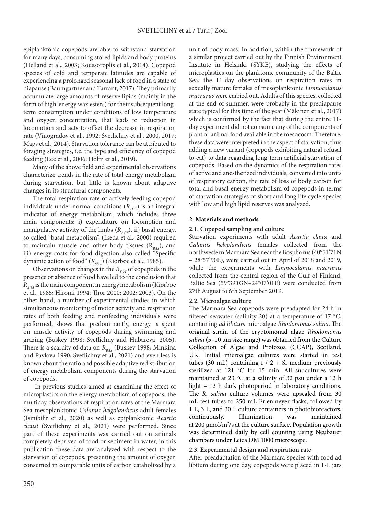epiplanktonic copepods are able to withstand starvation for many days, consuming stored lipids and body proteins (Helland et al., 2003; Koussoroplis et al., 2014). Copepod species of cold and temperate latitudes are capable of experiencing a prolonged seasonal lack of food in a state of diapause (Baumgartner and Tarrant, 2017). They primarily accumulate large amounts of reserve lipids (mainly in the form of high-energy wax esters) for their subsequent longterm consumption under conditions of low temperature and oxygen concentration, that leads to reduction in locomotion and acts to offset the decrease in respiration rate (Vinogradov et al., 1992; Svetlichny et al., 2000, 2017; Maps et al., 2014). Starvation tolerance can be attributed to foraging strategies, i.e. the type and efficiency of copepod feeding (Lee et al., 2006; Holm et al., 2019).

Many of the above field and experimental observations characterize trends in the rate of total energy metabolism during starvation, but little is known about adaptive changes in its structural components.

The total respiration rate of actively feeding copepod individuals under normal conditions  $(R_{TOT})$  is an integral indicator of energy metabolism, which includes three main components: i) expenditure on locomotion and manipulative activity of the limbs  $(R_{\text{ACT}})$ , ii) basal energy, so called "basal metabolism", (Ikeda et al., 2000) required to maintain muscle and other body tissues  $(R_{\text{max}})$ , and iii) energy costs for food digestion also called "Specific dynamic action of food" (*R<sub>SDA</sub>*) (Kiørboe et al., 1985).

Observations on changes in the *R<sub>TOT</sub>* of copepods in the presence or absence of food have led to the conclusion that *RSDA* is the main component in energy metabolism (Kiørboe et al., 1985; Hiromi 1994; Thor 2000; 2002; 2003). On the other hand, a number of experimental studies in which simultaneous monitoring of motor activity and respiration rates of both feeding and nonfeeding individuals were performed, shows that predominantly, energy is spent on muscle activity of copepods during swimming and grazing (Buskey 1998; Svetlichny and Hubareva, 2005). There is a scarcity of data on *R<sub>BAS</sub>* (Buskey 1998; Minkina and Pavlova 1990; Svetlichny et al., 2021) and even less is known about the ratio and possible adaptive redistribution of energy metabolism components during the starvation of copepods.

 In previous studies aimed at examining the effect of microplastics on the energy metabolism of copepods, the multiday observations of respiration rates of the Marmara Sea mesoplanktonic *Calanus helgolandicus* adult females (Isinibilir et al., 2020) as well as epiplanktonic *Acartia clausi* (Svetlichny et al., 2021) were performed. Since part of these experiments was carried out on animals completely deprived of food or sediment in water, in this publication these data are analyzed with respect to the starvation of copepods, presenting the amount of oxygen consumed in comparable units of carbon catabolized by a

unit of body mass. In addition, within the framework of a similar project carried out by the Finnish Environment Institute in Helsinki (SYKE), studying the effects of microplastics on the planktonic community of the Baltic Sea, the 11-day observations on respiration rates in sexually mature females of mesoplanktonic *Limnocalanus macrurus* were carried out. Adults of this species, collected at the end of summer, were probably in the prediapause state typical for this time of the year (Mäkinen et al., 2017) which is confirmed by the fact that during the entire 11 day experiment did not consume any of the components of plant or animal food available in the mesocosm. Therefore, these data were interpreted in the aspect of starvation, thus adding a new variant (copepods exhibiting natural refusal to eat) to data regarding long-term artificial starvation of copepods. Based on the dynamics of the respiration rates of active and anesthetized individuals, converted into units of respiratory carbon, the rate of loss of body carbon for total and basal energy metabolism of copepods in terms of starvation strategies of short and long life cycle species with low and high lipid reserves was analyzed.

# **2. Materials and methods**

# **2.1. Copepod sampling and culture**

Starvation experiments with adult *Acartia clausi* and *Calanus helgolandicus* females collected from the northwestern Marmara Sea near the Bosphorus (40°51'71N – 28°57'90E), were carried out in April of 2018 and 2019, while the experiments with *Limnocalanus macrurus* collected from the central region of the Gulf of Finland, Baltic Sea (59°39'03N–24°07'01E) were conducted from 27th August to 6th September 2019.

# **2.2. Microalgae culture**

The Marmara Sea copepods were preadapted for 24 h in filtered seawater (salinity 20) at a temperature of 17 °C, containing *ad libitum* microalgae *Rhodomonas salina*. The original strain of the cryptomonad algae *Rhodomonas salina* (5–10 µm size range) was obtained from the Culture Collection of Algae and Protozoa (CCAP), Scotland, UK. Initial microalgae cultures were started in test tubes (30 mL) containing  $f / 2 + Si$  medium previously sterilized at 121 °C for 15 min. All subcultures were maintained at 23 °C at a salinity of 32 psu under a 12 h light – 12 h dark photoperiod in laboratory conditions. The *R. salina* culture volumes were upscaled from 30 mL test tubes to 250 mL Erlenmeyer flasks, followed by 1 L, 3 L, and 30 L culture containers in photobioreactors, continuously. Illumination was maintained at 200  $\mu$ mol/m<sup>2</sup>/s at the culture surface. Population growth was determined daily by cell counting using Neubauer chambers under Leica DM 1000 microscope.

# **2.3. Experimental design and respiration rate**

After preadaptation of the Marmara species with food ad libitum during one day, copepods were placed in 1-L jars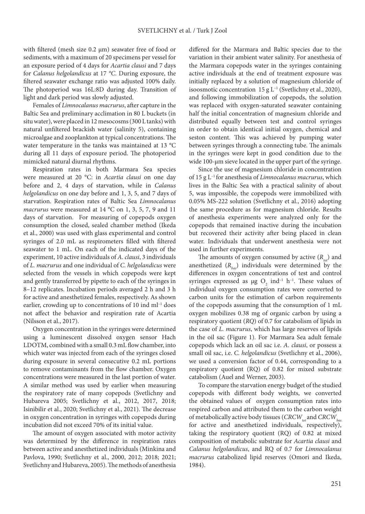with filtered (mesh size 0.2 µm) seawater free of food or sediments, with a maximum of 20 specimens per vessel for an exposure period of 4 days for *Acartia clausi* and 7 days for *Calanus helgolandicus* at 17 *°C*. During exposure, the filtered seawater exchange ratio was adjusted 100% daily. The photoperiod was 16L:8D during day. Transition of light and dark period was slowly adjusted.

Females of *Limnocalanus macrurus*, after capture in the Baltic Sea and preliminary acclimation in 80 L buckets (in situ water), were placed in 12 mesocosms (300 L tanks) with natural unfiltered brackish water (salinity 5), containing microalgae and zooplankton at typical concentrations. The water temperature in the tanks was maintained at 13 °C during all 11 days of exposure period. The photoperiod mimicked natural diurnal rhythms.

Respiration rates in both Marmara Sea species were measured at 20 °C: in *Acartia clausi* on one day before and 2, 4 days of starvation, while in *Calanus helgolandicus* on one day before and 1, 3, 5, and 7 days of starvation. Respiration rates of Baltic Sea *Limnocalanus macrurus* were measured at 14 °C on 1, 3, 5, 7, 9 and 11 days of starvation. For measuring of copepods oxygen consumption the closed, sealed chamber method (Ikeda et al., 2000) was used with glass experimental and control syringes of 2.0 mL as respirometers filled with filtered seawater to 1 mL. On each of the indicated days of the experiment, 10 active individuals of *A. clausi*, 3 individuals of *L. macrurus* and one individual of *C. helgolandicus* were selected from the vessels in which copepods were kept and gently transferred by pipette to each of the syringes in 8–12 replicates. Incubation periods averaged 2 h and 3 h for active and anesthetized females, respectively. As shown earlier, crowding up to concentrations of 10 ind ml–1 does not affect the behavior and respiration rate of Acartia (Nilsson et al., 2017).

Oxygen concentration in the syringes were determined using a luminescent dissolved oxygen sensor Hach LDOTM, combined with a small 0.3 mL flow chamber, into which water was injected from each of the syringes closed during exposure in several consecutive 0.2 mL portions to remove contaminants from the flow chamber. Oxygen concentrations were measured in the last portion of water. A similar method was used by earlier when measuring the respiratory rate of many copepods (Svetlichny and Hubareva 2005; Svetlichny et al., 2012, 2017, 2018; Isinibilir et al., 2020; Svetlichny et al., 2021). The decrease in oxygen concentration in syringes with copepods during incubation did not exceed 70% of its initial value.

The amount of oxygen associated with motor activity was determined by the difference in respiration rates between active and anesthetized individuals (Minkina and Pavlova, 1990; Svetlichny et al., 2000, 2012; 2018; 2021; Svetlichny and Hubareva, 2005). The methods of anesthesia

differed for the Marmara and Baltic species due to the variation in their ambient water salinity. For anesthesia of the Marmara copepods water in the syringes containing active individuals at the end of treatment exposure was initially replaced by a solution of magnesium chloride of isoosmotic concentration  $15 g L^{-1}$  (Svetlichny et al., 2020), and following immobilization of copepods, the solution was replaced with oxygen-saturated seawater containing half the initial concentration of magnesium chloride and distributed equally between test and control syringes in order to obtain identical initial oxygen, chemical and seston content. This was achieved by pumping water between syringes through a connecting tube. The animals in the syringes were kept in good condition due to the wide 100-μm sieve located in the upper part of the syringe.

Since the use of magnesium chloride in concentration of 15 g L–1 for anesthesia of *Limnocalanus macrurus*, which lives in the Baltic Sea with a practical salinity of about 5, was impossible, the copepods were immobilized with 0.05% MS-222 solution (Svetlichny et al., 2016) adopting the same procedure as for magnesium chloride. Results of anesthesia experiments were analyzed only for the copepods that remained inactive during the incubation but recovered their activity after being placed in clean water. Individuals that underwent anesthesia were not used in further experiments.

The amounts of oxygen consumed by active  $(R_{\mu\nu})$  and anesthetized (*Rbas*) individuals were determined by the differences in oxygen concentrations of test and control syringes expressed as  $\mu$ g O<sub>2</sub> ind<sup>-1</sup> h<sup>-1</sup>. These values of individual oxygen consumption rates were converted to carbon units for the estimation of carbon requirements of the copepods assuming that the consumption of 1 mL oxygen mobilizes 0.38 mg of organic carbon by using a respiratory quotient (*RQ*) of 0.7 for catabolism of lipids in the case of *L. macrurus*, which has large reserves of lipids in the oil sac (Figure 1). For Marmara Sea adult female copepods which lack an oil sac i.e. *A. clausi*, or possess a small oil sac, i.e. *C. helgolandicus* (Svetlichny et al., 2006), we used a conversion factor of 0.44, corresponding to a respiratory quotient (RQ) of 0.82 for mixed substrate catabolism (Auel and Werner, 2003).

To compare the starvation energy budget of the studied copepods with different body weights, we converted the obtained values of oxygen consumption rates into respired carbon and attributed them to the carbon weight of metabolically active body tissues (*CRCW<sub>tot</sub>* and *CRCW*<sub>has</sub> for active and anesthetized individuals, respectively), taking the respiratory quotient (RQ) of 0.82 at mixed composition of metabolic substrate for *Acartia clausi* and *Calanus helgolandicus*, and RQ of 0.7 for *Limnocalanus macrurus* catabolized lipid reserves (Omori and Ikeda, 1984).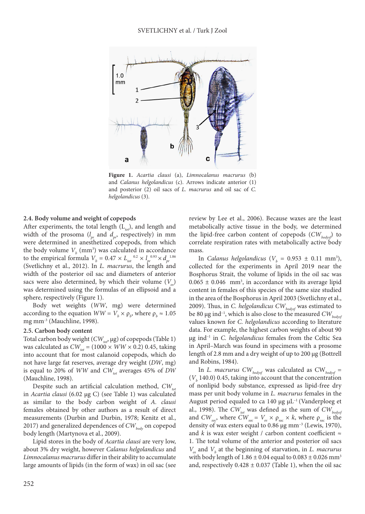

**Figure 1.** *Acartia clausi* (a), *Limnocalanus macrurus* (b) and *Calanus helgolandicus* (c). Arrows indicate anterior (1) and posterior (2) oil sacs of *L. macrurus* and oil sac of *C. helgolandicus* (3).

## **2.4. Body volume and weight of copepods**

After experiments, the total length (L<sub>tot</sub>), and length and width of the prosoma  $(l_{pr}$  and  $d_{pr}$ , respectively) in mm were determined in anesthetized copepods, from which the body volume  $V_b$  (mm<sup>3</sup>) was calculated in accordance to the empirical formula  $V_b = 0.47 \times L_{tot}^{-0.2} \times l_{pr}^{-0.93} \times d_{pr}^{-1.86}$ (Svetlichny et al., 2012). In *L. macrurus*, the length and width of the posterior oil sac and diameters of anterior sacs were also determined, by which their volume  $(V<sub>n</sub>)$ was determined using the formulas of an ellipsoid and a sphere, respectively (Figure 1).

Body wet weights (*WW*, mg) were determined according to the equation  $WW = V_b \times \rho_b$ , where  $\rho_b \approx 1.05$ mg mm<sup>-3</sup> (Mauchline, 1998).

## **2.5. Carbon body content**

Total carbon body weight (*CW<sub>tot</sub>*, μg) of copepods (Table 1) was calculated as  $CW_{tot} = (1000 \times WW \times 0.2)$  0.45, taking into account that for most calanoid copepods, which do not have large fat reserves, average dry weight (*DW*, mg) is equal to 20% of *WW* and *CW*<sub>tot</sub> averages 45% of *DW* (Mauchline, 1998).

Despite such an artificial calculation method,  $CW_{tot}$ in *Acartia clausi* (6.02 μg C) (see Table 1) was calculated as similar to the body carbon weight of *A. clausi* females obtained by other authors as a result of direct measurements (Durbin and Durbin, 1978; Kenitz et al., 2017) and generalized dependences of  $CW_{body}$  on copepod body length (Martynova et al., 2009).

Lipid stores in the body of *Acartia clausi* are very low, about 3% dry weight, however *Calanus helgolandicus* and *Limnocalanus macrurus* differ in their ability to accumulate large amounts of lipids (in the form of wax) in oil sac (see

review by Lee et al., 2006). Because waxes are the least metabolically active tissue in the body, we determined the lipid-free carbon content of copepods ( $CW_{body}$ ) to correlate respiration rates with metabolically active body mass.

In *Calanus helgolandicus* ( $V_b = 0.953 \pm 0.11 \text{ mm}^3$ ), collected for the experiments in April 2019 near the Bosphorus Strait, the volume of lipids in the oil sac was  $0.065 \pm 0.046$  mm<sup>3</sup>, in accordance with its average lipid content in females of this species of the same size studied in the area of the Bosphorus in April 2003 (Svetlichny et al., 2009). Thus, in *C. helgolandicus CW*<sub>bodysf</sub> was estimated to be 80 μg ind<sup>-1</sup>, which is also close to the measured *CW*<sub>hodysf</sub> values known for *C. helgolandicus* according to literature data. For example, the highest carbon weights of about 90 μg ind–1 in *C. helgolandicus* females from the Celtic Sea in April–March was found in specimens with a prosome length of 2.8 mm and a dry weight of up to 200 μg (Bottrell and Robins, 1984).

In *L. macrurus CWbodysf* was calculated as CW*bodysf* =  $(V<sub>b</sub>$  140.0) 0.45, taking into account that the concentration of nonlipid body substance, expressed as lipid-free dry mass per unit body volume in *L. macrurus* females in the August period equaled to ca 140 μg  $μL^{-1}$  (Vanderploeg et al., 1998). The  $CW_{tot}$  was defined as the sum of  $CW_{body}$ and  $CW_{\text{safe}}$ , where  $CW_{\text{safe}} = V_{\text{osc}} \times \rho_{\text{safe}} \times k$ , where  $\rho_{\text{safe}}$  is the density of wax esters equal to 0.86 μg mm–3 (Lewis, 1970), and  $k$  is wax ester weight / carbon content coefficient  $\approx$ 1. The total volume of the anterior and posterior oil sacs *Vos* and *Vb* at the beginning of starvation, in *L. macrurus* with body length of  $1.86 \pm 0.04$  equal to  $0.083 \pm 0.026$  mm<sup>3</sup> and, respectively  $0.428 \pm 0.037$  (Table 1), when the oil sac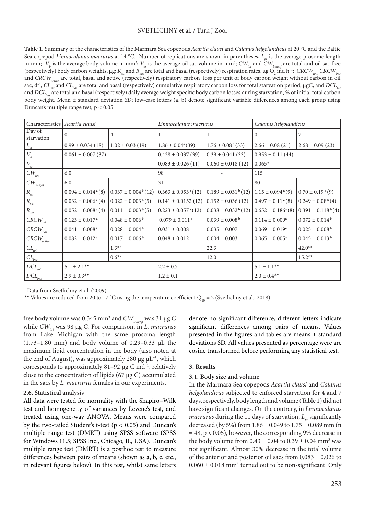### SVETLICHNY et al. / Turk J Zool

**Table 1.** Summary of the characteristics of the Marmara Sea copepods *Acartia clausi* and *Calanus helgolandicus* at 20 °C and the Baltic Sea copepod *Limnocalanus macrurus* at 14 °C. Number of replications are shown in parentheses, *L<sub>n</sub>* is the average prosome length in mm;  $\ V_{_{b}}$  is the average body volume in mm<sup>3</sup>;  $V_{_{os}}$  is the average oil sac volume in mm<sup>3</sup>;  $CW_{_{tot}}$  and  $CW_{_{bodyof}}$  are total and oil sac free (respectively) body carbon weights, µg;  $R_{_{tot}}$  and  $R_{_{bas}}$  are total and basal (respectively) respiration rates, µg  $\rm O_2$  ind h<sup>-1</sup>;  $\,$  CRCW $_{_{bot}}$  CRCW $_{_{bas}}$ and *CRCW<sub>active</sub>* are total, basal and active (respectively) respiratory carbon loss per unit of body carbon weight without carbon in oil sac, d<sup>-1</sup>; *CL<sub>tot</sub>* and *CL<sub>bas</sub>* are total and basal (respectively) cumulative respiratory carbon loss for total starvation period, μgC, and *DCL<sub>tot</sub>* and *DCL<sub>has</sub>* are total and basal (respectively) daily average weight specific body carbon losses during starvation, % of initial total carbon body weight. Mean ± standard deviation *SD*; low-case letters (a, b) denote significant variable differences among each group using Duncan's multiple range test, p *<* 0.05.

| Characteristics                                    | Acartia clausi                     |                                | Limnocalanus macrurus               |                                | Calanus helgolandicus              |                                |
|----------------------------------------------------|------------------------------------|--------------------------------|-------------------------------------|--------------------------------|------------------------------------|--------------------------------|
| Day of<br>starvation                               | $\Omega$                           | $\overline{4}$                 |                                     | 11                             | $\Omega$                           |                                |
| $L_{pr}$                                           | $0.99 \pm 0.034(18)$               | $1.02 \pm 0.03$ (19)           | $1.86 \pm 0.04$ <sup>a</sup> (39)   | $1.76 \pm 0.08^{b}$ (33)       | $2.66 \pm 0.08$ (21)               | $2.68 \pm 0.09$ (23)           |
| $V_{\scriptscriptstyle b}$                         | $0.061 \pm 0.007$ (37)             |                                | $0.428 \pm 0.037(39)$               | $0.39 \pm 0.041(33)$           | $0.953 \pm 0.11(44)$               |                                |
| $V_{_{os}}$                                        |                                    |                                | $0.083 \pm 0.026(11)$               | $0.060 \pm 0.018(12)$          | $0.065*$                           |                                |
| $CW_{\text{tot}}$                                  | 6.0                                |                                | 98                                  |                                | 115                                |                                |
| $\mathit{CW}_{\mathit{bodysf}}$                    | 6.0                                |                                | 31                                  |                                | 80                                 |                                |
| $R_{\rm tot}$                                      | $0.094 \pm 0.014$ <sup>a</sup> (8) | $0.037 \pm 0.004^b(12)$        | $0.363 \pm 0.053$ <sup>a</sup> (12) | $0.189 \pm 0.031^{b}(12)$      | $1.15 \pm 0.094$ <sup>a</sup> (9)  | $0.70 \pm 0.19^{b}(9)$         |
| $R_{\rm{\it{bas}}}$                                | $0.032 \pm 0.006$ <sup>a</sup> (4) | $0.022 \pm 0.003^{b}(5)$       | $0.141 \pm 0.0152$ (12)             | $0.152 \pm 0.036(12)$          | $0.497 \pm 0.11$ <sup>a</sup> (8)  | $0.249 \pm 0.08^b(4)$          |
| $R_{\scriptscriptstyle act}$                       | $0.052 \pm 0.008$ <sup>a</sup> (4) | $0.011 \pm 0.003^{b}(5)$       | $0.223 \pm 0.057$ <sup>a</sup> (12) | $0.038 \pm 0.032^b(12)$        | $0.652 \pm 0.186$ <sup>a</sup> (8) | $0.391 \pm 0.118^{b}(4)$       |
| $CRCW_{_{tot}}$                                    | $0.123 \pm 0.017$ <sup>a</sup>     | $0.048 \pm 0.006^{\mathrm{b}}$ | $0.079 \pm 0.011$ <sup>a</sup>      | $0.039 \pm 0.008^{\mathrm{b}}$ | $0.114 \pm 0.009^a$                | $0.072 \pm 0.014^{\mathrm{b}}$ |
| $\textit{CRCW}_{\ensuremath{\mathit{bas}}\xspace}$ | $0.041 \pm 0.008$ <sup>a</sup>     | $0.028 \pm 0.004^{\mathrm{b}}$ | $0.031 \pm 0.008$                   | $0.035 \pm 0.007$              | $0.069 \pm 0.019$ <sup>a</sup>     | $0.025 \pm 0.008^{\mathrm{b}}$ |
| $\textit{CRCW}_{\textit{active}}$                  | $0.082 \pm 0.012$ <sup>a</sup>     | $0.017 \pm 0.006^{\mathrm{b}}$ | $0.048 \pm 0.012$                   | $0.004 \pm 0.003$              | $0.065 \pm 0.005^{\rm a}$          | $0.045 \pm 0.013^{\mathrm{b}}$ |
| $CL_{_{tot}}$                                      |                                    | $1.3**$                        |                                     | 22.3                           |                                    | $42.0**$                       |
| $CL_{\rm{bas}}$                                    |                                    | $0.6***$                       |                                     | 12.0                           |                                    | $15.2**$                       |
| $DCL_{_{tot}}$                                     | $5.1 \pm 2.1$ <sup>**</sup>        |                                | $2.2 \pm 0.7$                       |                                | $5.1 \pm 1.1***$                   |                                |
| $DCL_{\underline{bas}}$                            | $2.9 \pm 0.3**$                    |                                | $1.2 \pm 0.1$                       |                                | $2.0 \pm 0.4**$                    |                                |

· Data from Svetlichny et al. (2009).

\*\* Values are reduced from 20 to 17 °C using the temperature coefficient  $Q_{10} = 2$  (Svetlichny et al., 2018).

free body volume was 0.345 mm<sup>3</sup> and  $CW_{_{bodyof}}$  was 31 μg C while *CW<sub>tot</sub>* was 98 μg C. For comparison, in *L. macrurus* from Lake Michigan with the same prosoma length (1.73–1.80 mm) and body volume of 0.29–0.33 μL the maximum lipid concentration in the body (also noted at the end of August), was approximately 280 μg  $μL<sup>-1</sup>$ , which corresponds to approximately  $81-92 \mu g$  C ind<sup>-1</sup>, relatively close to the concentration of lipids (67 μg C) accumulated in the sacs by *L. macrurus* females in our experiments.

### **2.6. Statistical analysis**

All data were tested for normality with the Shapiro–Wilk test and homogeneity of variances by Levene's test, and treated using one-way ANOVA. Means were compared by the two-tailed Student's t-test (p *<* 0.05) and Duncan's multiple range test (DMRT) using SPSS software (SPSS for Windows 11.5; SPSS Inc., Chicago, IL, USA). Duncan's multiple range test (DMRT) is a posthoc test to measure differences between pairs of means (shown as a, b, c, etc., in relevant figures below). In this test, whilst same letters denote no significant difference, different letters indicate significant differences among pairs of means. Values presented in the figures and tables are means ± standard deviations SD. All values presented as percentage were arc cosine transformed before performing any statistical test.

## **3. Results**

### **3.1. Body size and volume**

In the Marmara Sea copepods *Acartia clausi* and *Calanus helgolandicus* subjected to enforced starvation for 4 and 7 days, respectively, body length and volume (Table 1) did not have significant changes. On the contrary, in *Limnocalanus macrurus* during the 11 days of starvation, *L pr* significantly decreased (by 5%) from  $1.86 \pm 0.049$  to  $1.75 \pm 0.089$  mm (n  $= 48$ , p < 0.05), however, the corresponding 9% decrease in the body volume from  $0.43 \pm 0.04$  to  $0.39 \pm 0.04$  mm<sup>3</sup> was not significant. Almost 30% decrease in the total volume of the anterior and posterior oil sacs from  $0.083 \pm 0.026$  to  $0.060 \pm 0.018$  mm<sup>3</sup> turned out to be non-significant. Only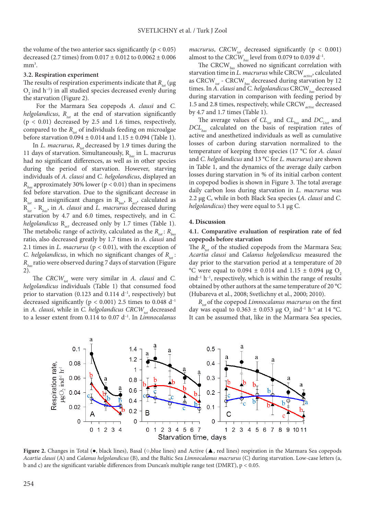the volume of the two anterior sacs significantly ( $p < 0.05$ ) decreased (2.7 times) from  $0.017 \pm 0.012$  to  $0.0062 \pm 0.006$  $mm<sup>3</sup>$ .

#### **3.2. Respiration experiment**

The results of respiration experiments indicate that *R<sub>tat</sub>* (μg)  $O_2$  ind h<sup>-1</sup>) in all studied species decreased evenly during the starvation (Figure 2).

 For the Marmara Sea copepods *A. clausi* and *C. helgolandicus*,  $R_{tot}$  at the end of starvation significantly  $(p < 0.01)$  decreased by 2.5 and 1.6 times, respectively, compared to the  $R_{tot}$  of individuals feeding on microalgae before starvation  $0.094 \pm 0.014$  and  $1.15 \pm 0.094$  (Table 1).

In *L. macrurus*,  $R_{tot}$  decreased by 1.9 times during the 11 days of starvation. Simultaneously, R*bas* in L. macrurus had no significant differences, as well as in other species during the period of starvation. However, starving individuals of *A. clausi* and *C. helgolandicus*, displayed an  $R<sub>bar</sub>$  approximately 30% lower ( $p < 0.01$ ) than in specimens fed before starvation. Due to the significant decrease in R*tot* and insignificant changes in R*bas*, R*act*, calculated as R*tot* - R*bas*, in *A. clausi* and *L. macrurus* decreased during starvation by 4.7 and 6.0 times, respectively, and in *C. helgolandicus* R<sub>act</sub> decreased only by 1.7 times (Table 1). The metabolic range of activity, calculated as the  $R_{tot}$ :  $R_{hot}$ ratio, also decreased greatly by 1.7 times in *A. clausi* and 2.1 times in *L. macrurus* (p < 0.01), with the exception of *C. helgolandicus*, in which no significant changes of  $R_{tot}$ : *Rbas*ratio were observed during 7 days of starvation (Figure 2).

The *CRCW*<sub>tot</sub> were very similar in *A. clausi* and *C. helgolandicus* individuals (Table 1) that consumed food prior to starvation (0.123 and 0.114  $d^{-1}$ , respectively) but decreased significantly ( $p < 0.001$ ) 2.5 times to 0.048 d<sup>-1</sup> in *A. clausi*, while in *C. helgolandicus CRCW<sub>tot</sub>* decreased to a lesser extent from 0.114 to 0.07 d–1. In *Limnocalanus* 

*macrurus*, *CRCW*<sub>tot</sub> decreased significantly ( $p < 0.001$ ) almost to the *CRCW*<sub>bas</sub> level from 0.079 to 0.039 d<sup>-1</sup>.

The CRCW*bas* showed no significant correlation with starvation time in *L. macrurus* while CRCW*active*, calculated as CRCW*tot* - CRCW*bas* decreased during starvation by 12 times. In *A. clausi* and *C. helgolandicus* CRCW<sub>bas</sub> decreased during starvation in comparison with feeding period by 1.5 and 2.8 times, respectively, while CRCW*active* decreased by 4.7 and 1.7 times (Table 1).

The average values of  $CL_{tot}$  and  $CL_{bas}$  and  $DC_{Ltot}$  and *DCLbas* calculated on the basis of respiration rates of active and anesthetized individuals as well as cumulative losses of carbon during starvation normalized to the temperature of keeping three species (17 **°**C for *A. clausi* and *C. helgolandicus* and 13 **°**C for *L. macrurus*) are shown in Table 1, and the dynamics of the average daily carbon losses during starvation in % of its initial carbon content in copepod bodies is shown in Figure 3. The total average daily carbon loss during starvation in *L. macrurus* was 2.2 μg С, while in both Black Sea species **(***A. clausi* and *C. helgolandicus*) they were equal to 5.1 μg С.

#### **4. Discussion**

## **4.1. Comparative evaluation of respiration rate of fed copepods before starvation**

The  $R_{tot}$  of the studied copepods from the Marmara Sea; *Acartia clausi* and *Calanus helgolandicus* measured the day prior to the starvation period at a temperature of 20 °C were equal to 0.094  $\pm$  0.014 and 1.15  $\pm$  0.094 μg O<sub>2</sub>  $ind<sup>-1</sup> h<sup>-1</sup>$ , respectively, which is within the range of results obtained by other authors at the same temperature of 20 °C (Hubareva et al., 2008; Svetlichny et al., 2000; 2010).

*R*<sub>tot</sub> of the copepod *Limnocalanus macrurus* on the first day was equal to  $0.363 \pm 0.053$  µg O<sub>2</sub> ind<sup>-1</sup> h<sup>-1</sup> at 14 °C. It can be assumed that, like in the Marmara Sea species,



**Figure 2.** Changes in Total (**●**, black lines), Basal (**○**,blue lines) and Active (**▲**, red lines) respiration in the Marmara Sea copepods *Acartia clausi* (A) and *Calanus helgolandicus* (B), and the Baltic Sea *Limnocalanus macrurus* (C) during starvation. Low-case letters (a, b and c) are the significant variable differences from Duncan's multiple range test (DMRT), p *<* 0.05.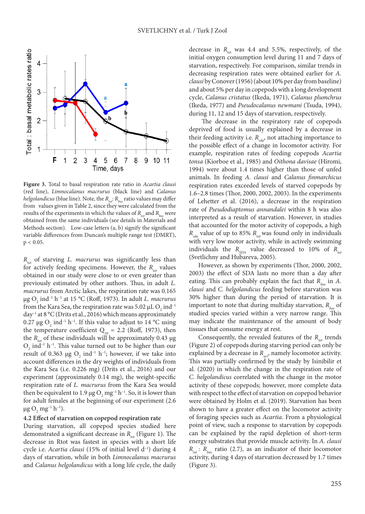

**Figure 3.** Total to basal respiration rate ratio in *Acartia clausi* (red line), *Limnocalanus macrurus* (black line) and *Calanus helgolandicus* (blue line). Note, the  $R_{tot}$ :  $R_{bas}$  ratio values may differ from values given in Table 2, since they were calculated from the results of the experiments in which the values of  $R_{tot}$  and  $R_{hot}$  were obtained from the same individuals (see details in Materials and Methods section). Low-case letters (a, b) signify the significant variable differences from Duncan's multiple range test (DMRT),  $p < 0.05$ .

*R<sub>tot</sub>* of starving *L. macrurus* was significantly less than for actively feeding specimens. However, the *R<sub>tot</sub>* values obtained in our study were close to or even greater than previously estimated by other authors. Thus, in adult *L. macrurus* from Arctic lakes, the respiration rate was 0.165 μg O2 ind–1 h–1 at 15 °С (Roff, 1973). In adult *L. macrurus* from the Kara Sea, the respiration rate was 5.02  $\rm \mu L\, O_{2}$  ind $^{\rm -1}$ day–1 at 8 °C (Drits et al., 2016) which means approximately 0.27 μg O<sub>2</sub> ind<sup>-1</sup> h<sup>-1</sup>. If this value to adjust to 14 °C using the temperature coefficient  $Q_{10} = 2.2$  (Roff, 1973), then the  $R_{tot}$  of these individuals will be approximately 0.43 μg  $O_2$  ind<sup>-1</sup> h<sup>-1</sup>. This value turned out to be higher than our result of 0.363  $\mu$ g O<sub>2</sub> ind<sup>-1</sup> h<sup>-1</sup>; however, if we take into account differences in the dry weights of individuals from the Kara Sea (i.e. 0.226 mg) (Drits et al., 2016) and our experiment (approximately 0.14 mg), the weight-specific respiration rate of *L. macrurus* from the Kara Sea would then be equivalent to 1.9 μg  $O_2$  mg<sup>-1</sup> h<sup>-1</sup>. So, it is lower than for adult females at the beginning of our experiment (2.6 μg O<sub>2</sub> mg<sup>-1</sup> h<sup>-1</sup>).

# **4.2 Effect of starvation on copepod respiration rate**

During starvation, all copepod species studied here demonstrated a significant decrease in *R<sub>tot</sub>* (Figure 1). The decrease in Rtot was fastest in species with a short life cycle i.e. *Acartia clausi* (15% of initial level d<sup>-1</sup>) during 4 days of starvation, while in both *Limnocalanus macrurus* and *Calanus helgolandicus* with a long life cycle, the daily

decrease in  $R_{tot}$  was 4.4 and 5.5%, respectively, of the initial oxygen consumption level during 11 and 7 days of starvation, respectively. For comparison, similar trends in decreasing respiration rates were obtained earlier for *A. clausi* by Conover (1956) (about 10% per day from baseline) and about 5% per day in copepods with a long development cycle, *Calanus cristatus* (Ikeda, 1971), *Calanus plumchrus* (Ikeda, 1977) and *Pseudocalanus newmani* (Tsuda, 1994), during 11, 12 and 15 days of starvation, respectively.

 The decrease in the respiratory rate of copepods deprived of food is usually explained by a decrease in their feeding activity i.e.  $R_{sd}$ , not attaching importance to the possible effect of a change in locomotor activity. For example, respiration rates of feeding copepods *Acartia tonsa* (Kiorboe et al., 1985) and *Oithona davisae* (Hiromi, 1994) were about 1.4 times higher than those of unfed animals. In feeding *A. clausi* and *Calanus finmarchicus*  respiration rates exceeded levels of starved copepods by 1.6–2.8 times (Thor, 2000, 2002, 2003). In the experiments of Lehetter et al. (2016), a decrease in the respiration rate of *Pseudodiaptomus annandalei* within 8 h was also interpreted as a result of starvation. However, in studies that accounted for the motor activity of copepods, a high  $R_{sda}$  value of up to 85%  $R_{tot}$  was found only in individuals with very low motor activity, while in actively swimming individuals the  $R_{SDA}$  value decreased to 10% of  $R_{tot}$ (Svetlichny and Hubareva, 2005).

However, as shown by experiments (Thor, 2000, 2002, 2003) the effect of SDA lasts no more than a day after eating. This can probably explain the fact that  $R_{\text{base}}$  in *A*. *clausi* and *C. helgolandicus* feeding before starvation was 30% higher than during the period of starvation. It is important to note that during multiday starvation,  $R_{\text{base}}$  of studied species varied within a very narrow range. This may indicate the maintenance of the amount of body tissues that consume energy at rest.

Consequently, the revealed features of the *R<sub>tot</sub>* trends (Figure 2) of copepods during starving period can only be explained by a decrease in  $R_{\alpha\beta}$  namely locomotor activity. This was partially confirmed by the study by Isinibilir et al. (2020) in which the change in the respiration rate of *C. helgolandicus* correlated with the change in the motor activity of these copepods; however, more complete data with respect to the effect of starvation on copepod behavior were obtained by Holm et al. (2019). Starvation has been shown to have a greater effect on the locomotor activity of foraging species such as *Acartia*. From a physiological point of view, such a response to starvation by copepods can be explained by the rapid depletion of short-term energy substrates that provide muscle activity. In *A. clausi*  $R_{tot}$ :  $R_{hot}$  ratio (2.7), as an indicator of their locomotor activity, during 4 days of starvation decreased by 1.7 times (Figure 3).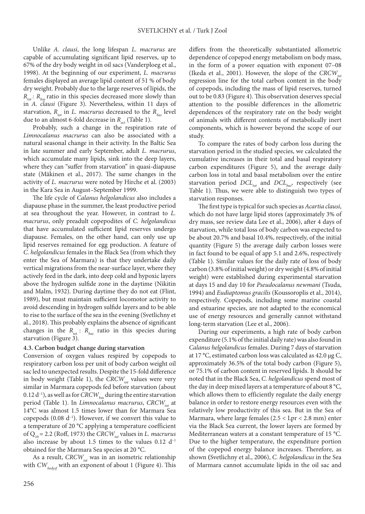Unlike *A. clausi*, the long lifespan *L. macrurus* are capable of accumulating significant lipid reserves, up to 67% of the dry body weight in oil sacs (Vanderploeg et al., 1998). At the beginning of our experiment, *L. macrurus* females displayed an average lipid content of 51 % of body dry weight. Probably due to the large reserves of lipids, the  $R_{tot}$ :  $R_{hot}$  ratio in this species decreased more slowly than in *A. clausi* (Figure 3). Nevertheless, within 11 days of starvation,  $R_{tot}$  in *L. macrurus* decreased to the  $R_{hot}$  level due to an almost 6-fold decrease in  $R_{\text{act}}$  (Table 1).

Probably, such a change in the respiration rate of *Limnocalanus macrurus* can also be associated with a natural seasonal change in their activity. In the Baltic Sea in late summer and early September, adult *L. macrurus*, which accumulate many lipids, sink into the deep layers, where they can "suffer from starvation" in quasi-diapause state (Mäkinen et al., 2017). The same changes in the activity of *L. macrurus* were noted by Hirche et al. (2003) in the Kara Sea in August–September 1999.

The life cycle of *Calanus helgolandicus* also includes a diapause phase in the summer, the least productive period at sea throughout the year. However, in contrast to *L. macrurus*, only preadult copepodites of *C. helgolandicus* that have accumulated sufficient lipid reserves undergo diapause. Females, on the other hand, can only use up lipid reserves remained for egg production. A feature of *C. helgolandicus* females in the Black Sea (from which they enter the Sea of Marmara) is that they undertake daily vertical migrations from the near-surface layer, where they actively feed in the dark, into deep cold and hypoxic layers above the hydrogen sulfide zone in the daytime (Nikitin and Malm, 1932). During daytime they do not eat (Flint, 1989), but must maintain sufficient locomotor activity to avoid descending in hydrogen sulfide layers and to be able to rise to the surface of the sea in the evening (Svetlichny et al., 2018). This probably explains the absence of significant changes in the  $R_{tot}$ :  $R_{bas}$  ratio in this species during starvation (Figure 3).

# **4.3. Carbon budget change during starvation**

Conversion of oxygen values respired by copepods to respiratory carbon loss per unit of body carbon weight oil sac led to unexpected results. Despite the 15-fold difference in body weight (Table 1), the *CRCW<sub>tot</sub>* values were very similar in Marmara copepods fed before starvation (about 0.12 d<sup>-1</sup>), as well as for *CRCW*<sub>bas</sub> during the entire starvation period (Table 1). In *Limnocalanus macrurus*, *CRCW<sub>tot</sub>* at 14°C was almost 1.5 times lower than for Marmara Sea copepods  $(0.08 d<sup>-1</sup>)$ . However, if we convert this value to a temperature of 20 **°**C applying a temperature coefficient of Q<sub>10</sub> = 2.2 (Roff, 1973) the *CRCW<sub>tot</sub>* values in *L. macrurus* also increase by about 1.5 times to the values  $0.12 \text{ d}^{-1}$ obtained for the Marmara Sea species at 20 **°**C.

As a result, *CRCW<sub>tot</sub>* was in an isometric relationship with *CW*<sub>hodysf</sub> with an exponent of about 1 (Figure 4). This

differs from the theoretically substantiated allometric dependence of copepod energy metabolism on body mass, in the form of a power equation with exponent 07–08 (Ikeda et al., 2001). However, the slope of the *CRCW*<sub>tot</sub> regression line for the total carbon content in the body of copepods, including the mass of lipid reserves, turned out to be 0.83 (Figure 4). This observation deserves special attention to the possible differences in the allometric dependences of the respiratory rate on the body weight of animals with different contents of metabolically inert components, which is however beyond the scope of our study.

To compare the rates of body carbon loss during the starvation period in the studied species, we calculated the cumulative increases in their total and basal respiratory carbon expenditures (Figure 5), and the average daily carbon loss in total and basal metabolism over the entire starvation period *DCL<sub>tot</sub>* and *DCL<sub>has</sub>*, respectively (see Table 1). Thus, we were able to distinguish two types of starvation responses.

The first type is typical for such species as *Acartia clausi*, which do not have large lipid stores (approximately 3% of dry mass, see review data Lee et al., 2006), after 4 days of starvation, while total loss of body carbon was expected to be about 20.7% and basal 10.4%, respectively, of the initial quantity (Figure 5) the average daily carbon losses were in fact found to be equal of app 5.1 and 2.6%, respectively (Table 1). Similar values for the daily rate of loss of body carbon (3.8% of initial weight) or dry weight (4.8% of initial weight) were established during experimental starvation at days 15 and day 10 for *Pseudocalanus newmani* (Tsuda, 1994) and *Eudiaptomus gracilis* (Koussoroplis et al., 2014), respectively. Copepods, including some marine coastal and estuarine species, are not adapted to the economical use of energy resources and generally cannot withstand long-term starvation (Lee et al., 2006).

During our experiments, a high rate of body carbon expenditure (5.1% of the initial daily rate) was also found in *Calanus helgolandicus* females. During 7 days of starvation at 17 **°**C, estimated carbon loss was calculated as 42.0 μg C, approximately 36.5% of the total body carbon (Figure 5), or 75.1% of carbon content in reserved lipids. It should be noted that in the Black Sea, *C. helgolandicus* spend most of the day in deep mixed layers at a temperature of about 8 **°**C, which allows them to efficiently regulate the daily energy balance in order to restore energy resources even with the relatively low productivity of this sea. But in the Sea of Marmara, where large females  $(2.5 <$  Lpr  $< 2.8$  mm) enter via the Black Sea current, the lower layers are formed by Mediterranean waters at a constant temperature of 15 **°**C. Due to the higher temperature, the expenditure portion of the copepod energy balance increases. Therefore, as shown **(**Svetlichny et al., 2006), *C. helgolandicus* in the Sea of Marmara cannot accumulate lipids in the oil sac and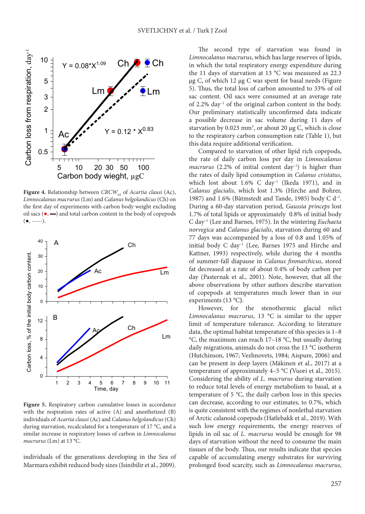

**Figure 4.** Relationship between *CRCW<sub>tot</sub>* of *Acartia clausi* (Ac), *Limnocalanus macrurus* (Lm) and *Calanus helgolandicus* (Ch) on the first day of experiments with carbon body weight excluding oil sacs (**●**, **▬**) and total carbon content in the body of copepods (**●**, -----).



**Figure 5.** Respiratory carbon cumulative losses in accordance with the respiration rates of active (A) and anesthetized (B) individuals of *Acartia clausi* (Ac) and *Calanus helgolandicus* (Ch) during starvation, recalculated for a temperature of 17 °C, and a similar increase in respiratory losses of carbon in *Limnocalanus macrurus* (Lm) at 13 °C.

individuals of the generations developing in the Sea of Marmara exhibit reduced body sizes (Isinibilir et al., 2009).

The second type of starvation was found in *Limnocalanus macrurus*, which has large reserves of lipids, in which the total respiratory energy expenditure during the 11 days of starvation at 13 **°**C was measured as 22.3 μg С, of which 12 μg С was spent for basal needs (Figure 5). Thus, the total loss of carbon amounted to 33% of oil sac content. Oil sacs were consumed at an average rate of 2.2%  $\frac{day^{-1}}{dt}$  of the original carbon content in the body. Our preliminary statistically unconfirmed data indicate a possible decrease in sac volume during 11 days of starvation by 0.023 mm<sup>3</sup>, or about 20 μg C, which is close to the respiratory carbon consumption rate (Table 1), but this data require additional verification.

Compared to starvation of other lipid rich copepods, the rate of daily carbon loss per day in *Limnocalanus macrurus* (2.2% of initial content day<sup>-1</sup>) is higher than the rates of daily lipid consumption in *Calanus cristatus*, which lost about  $1.6\%$  C day<sup>-1</sup> (Ikeda 1971), and in *Calanus glacialis*, which lost 1.3% (Hirche and Bohrer, 1987) and 1.6% (Båtmstedt and Tande, 1985) body C  $d^{-1}$ . During a 60-day starvation period, *Gaussia princeps* lost 1.7% of total lipids or approximately 0.8% of initial body C day–1 (Lee and Barnes, 1975). In the wintering *Euchaeta norvegica* and *Calanus glacialis*, starvation during 60 and 77 days was accompanied by a loss of 0.8 and 1.05% of initial body C day–1 (Lee, Barnes 1975 and Hirche and Kattner, 1993) respectively, while during the 4 months of summer-fall diapause in *Calanus finmarchicus*, stored fat decreased at a rate of about 0.4% of body carbon per day (Pasternak et al., 2001). Note, however, that all the above observations by other authors describe starvation of copepods at temperatures much lower than in our experiments (13 °C**)**.

However, for the stenothermic glacial relict *Limnocalanus macrurus*, 13 °C is similar to the upper limit of temperature tolerance. According to literature data, the optimal habitat temperature of this species is 1–8 °С, the maximum can reach 17–18 °С, but usually during daily migrations, animals do not cross the 13 °С isotherm (Hutchinson, 1967; Vezhnovets, 1984; Aispure, 2006) and can be present in deep layers (Mäkinen et al., 2017) at a temperature of approximately 4–5 °C *(*Vuori et al., 2015). Considering the ability of *L. macrurus* during starvation to reduce total levels of energy metabolism to basal, at a temperature of 5 °C, the daily carbon loss in this species can decrease, according to our estimates, to 0.7%, which is quite consistent with the regimes of nonlethal starvation of Arctic calanoid copepods (Hatlebakk et al., 2019). With such low energy requirements, the energy reserves of lipids in oil sac of *L. macrurus* would be enough for 98 days of starvation without the need to consume the main tissues of the body. Thus, our results indicate that species capable of accumulating energy substrates for surviving prolonged food scarcity, such as *Limnocalanus macrurus*,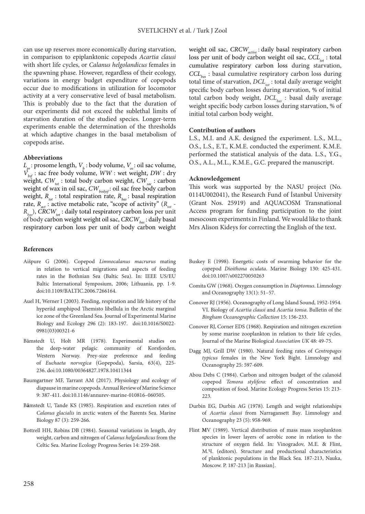can use up reserves more economically during starvation, in comparison to epiplanktonic copepods *Acartia clausi* with short life cycles, or *Calanus helgolandicus* females in the spawning phase. However, regardless of their ecology, variations in energy budget expenditure of copepods occur due to modifications in utilization for locomotor activity at a very conservative level of basal metabolism. This is probably due to the fact that the duration of our experiments did not exceed the sublethal limits of starvation duration of the studied species. Longer-term experiments enable the determination of the thresholds at which adaptive changes in the basal metabolism of copepods arise**.**

#### **Abbreviations**

 $L_{\mathit{pr}}$ : prosome length,  $V_{\mathit{b}}$  : body volume,  $V_{\mathit{os}}$ : oil sac volume, *Vbsf* : sac free body volume, *WW* : wet weight, *DW* : dry weight,  $CW_{tot}$ : total body carbon weight,  $CW_{sac}$ : carbon weight of wax in oil sac,  $CW_{\text{body}}$  *coil sac free body carbon* weight,  $R_{tot}$ : total respiration rate,  $R_{bas}$ : basal respiration rate,  $R_{\text{net}}$ : active metabolic rate, "scope of activity" ( $R_{\text{tot}}$  -*R<sub>has</sub>*), *CRCW*<sub>tot</sub>: daily total respiratory carbon loss per unit of body carbon weight weight oil sac, *CRCW*<sub>has</sub>: daily basal respiratory carbon loss per unit of body carbon weight

#### **References**

- Aišpure G (2006). Copepod *Limnocalanus macrurus* mating in relation to vertical migrations and aspects of feeding rates in the Bothnian Sea (Baltic Sea). In: IEEE US/EU Baltic International Symposium, 2006; Lithuania, pp. 1-9. doi:10.1109/BALTIC.2006.7266164.
- Auel H, Werner I (2003). Feeding, respiration and life history of the hyperiid amphipod Themisto libellula in the Arctic marginal ice zone of the Greenland Sea. Journal of Experimental Marine Biology and Ecology 296 (2): 183-197. doi:10.1016/S0022- 0981(03)00321-6
- Båmstedt U, Holt MR (1978). Experimental studies on the deep-water pelagic community of Korsfjorden, Western Norway. Prey-size preference and feeding of *Euchaeta norvegica* (Gopepoda), Sarsia, 63(4), 225- 236. doi:10.1080/00364827.1978.10411344
- Baumgartner MF, Tarrant AM (2017). Physiology and ecology of diapause in marine copepods. Annual Review of Marine Science 9: 387-411. doi:10.1146/annurev-marine-010816–060505.
- B**å**mstedt U, Tande KS (1985). Respiration and excretion rates of *Calanus glacialis* in arctic waters of the Barents Sea. Marine Biology 87 (3): 259-266.
- Bottrell HH, Robins DB (1984). Seasonal variations in length, dry weight, carbon and nitrogen of *Calanus helgolandicus* from the Celtic Sea. Marine Ecology Progress Series 14: 259-268.

weight oil sac, *CRCW<sub>active</sub>* : daily basal respiratory carbon loss per unit of body carbon weight oil sac, *CCL<sub>tot</sub>* : total cumulative respiratory carbon loss during starvation, *CCLbas* : basal cumulative respiratory carbon loss during total time of starvation,  $DCL_{tot}$ : total daily average weight specific body carbon losses during starvation, % of initial total carbon body weight,  $DCL<sub>bas</sub>$ : basal daily average weight specific body carbon losses during starvation, % of initial total carbon body weight.

#### **Contribution of authors**

L.S., M.I. and A.K. designed the experiment. L.S., M.L., O.S., L.S., E.T., K.M.E. conducted the experiment. K.M.E. performed the statistical analysis of the data. L.S., Y.G., O.S., A.L., M.L., K.M.E., G.C. prepared the manuscript.

#### **Acknowledgement**

This work was supported by the NASU project (No. 0114U002041), the Research Fund of İstanbul University (Grant Nos. 25919) and AQUACOSM Transnational Access program for funding participation to the joint mesocosm experiments in Finland. We would like to thank Mrs Alison Kideys for correcting the English of the text.

- Buskey E (1998). Energetic costs of swarming behavior for the copepod *Dioithona oculata*. Marine Biology 130: 425-431. doi:10.1007/s002270050263
- Comita GW (1968). Oxygen consumption in *Diaptomus*. Limnology and Oceanography 13(1): 51–57.
- Conover RJ (1956). Oceanography of Long Island Sound, 1952-1954. VI. Biology of *Acartia clausi* and *Acartia tonsa*. Bulletin of the *Bingham Oceanographic Collection* 15: 156-233.
- Conover RJ, Corner EDS (1968). Respiration and nitrogen excretion by some marine zooplankton in relation to their life cycles. Journal of the Marine Biological *Association UK* 48: 49-75.
- Dagg MJ, Grill DW (1980). Natural feeding rates of *Centropages typicus* females in the New York Bight. Limnology and Oceanography 25: 597-609.
- Abou Debs C (1984). Carbon and nitrogen budget of the calanoid copepod *Temora stylifera:* effect of concentration and composition of food. Marine Ecology Progress Series 15: 213- 223.
- Durbin EG, Durbin AG (1978). Length and weight relationships of *Acartia clausi* from Narragansett Bay. Limnology and Oceanography 23 (5): 958-969.
- Flint **М**V (1989). Vertical distribution of mass mass zooplankton species in lower layers of aerobic zone in relation to the structure of oxygen field. In: Vinogradov, М.Е. & Flint, М.Ч. (editors). Structure and productional characteristics оf planktonic populations in the Black Sea. 187-213, Nauka, Moscow. P. 187-213 [in Russian].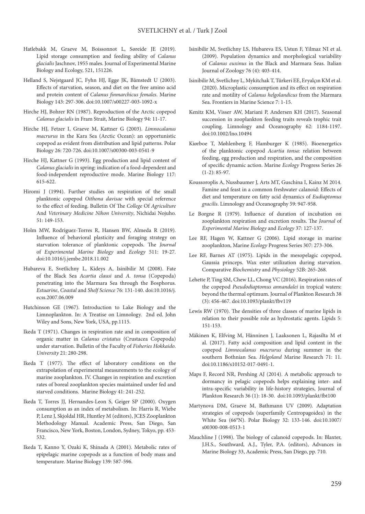- Hatlebakk M, Graeve M, Boissonnot L, Søreide JE (2019). Lipid storage consumption and feeding ability of *Calanus glacialis* Jaschnov, 1955 males. Journal of Experimental Marine Biology and Ecology, 521, 151226.
- Helland S, Nejstgaard JC, Fyhn HJ, Egge JK, Båmstedt U (2003). Effects of starvation, season, and diet on the free amino acid and protein content of *Calanus finmarchicus females*. Marine Biology 143: 297-306. doi:10.1007/s00227-003-1092-x
- Hirche HJ, Bohrer RN (1987). Reproduction of the Arctic copepod *Calanus glacialis* in Fram Strait, Marine Biology 94: 11-17.
- Hirche HJ, Fetzer I, Graeve M, Kattner G (2003). *Limnocalanus macrurus* in the Kara Sea (Arctic Ocean): an opportunistic copepod as evident from distribution and lipid patterns. Polar Biology 26: 720-726. doi:10.1007/s00300-003-0541-9
- Hirche HJ, Kattner G (1993). Egg production and lipid content of *Calanus glacialis* in spring: indication of a food-dependent and food-independent reproductive mode. Marine Biology 117: 615-622.
- Hiromi J (1994). Further studies on respiration of the small planktonic copepod *Oithona davisae* with special reference to the effect of feeding. Bulletin Of The *College* Of *Agriculture* And *Veterinary Medicine Nihon University*, Nichidai Nojuho. 51: 149-153.
- Holm MW, Rodriguez-Torres R, Hansen BW, Almeda R (2019). Influence of behavioral plasticity and foraging strategy on starvation tolerance of planktonic copepods. The *Journal* of *Experimental Marine Biology* and *Ecology* 511: 19-27. doi:10.1016/j.jembe.2018.11.002
- Hubareva E, Svetlichny L, Kideys A, Isinibilir M (2008). Fate of the Black Sea *Acartia clausi* and *A. tonsa* (Copepoda) penetrating into the Marmara Sea through the Bosphorus. *Estuarine*, *Coastal* and *Shelf Science* 76: 131-140. doi:10.1016/j. ecss.2007.06.009
- Hutchinson GE (1967). Introduction to Lake Biology and the Limnoplankton. In: A Treatise on Limnology. 2nd ed. John Wiley and Sons, New York, USA, pp.1115.
- Ikeda T (1971). Changes in respiration rate and in composition of organic matter in *Calanus cristatus* (Crustacea Copepoda) under starvation. Bulletin of the Faculty of *Fisheries Hokkaido*. *University* 21: 280-298.
- Ikeda T (1977). The effect of laboratory conditions on the extrapolation of experimental measurements to the ecology of marine zooplankton. IV. Changes in respiration and excretion rates of boreal zooplankton species maintained under fed and starved conditions. Marine Biology 41: 241-252.
- Ikeda T, Torres JJ, Hernandes-Leon S, Geiger SP (2000). Oxygen consumption as an index of metabolism. In: Harris R, Wiebe P, Lenz J, Skjoldal HR, Huntley M (editors), JCES Zooplankton Methodology Manual. Academic Press, San Diego, San Francisco, New York, Boston, London, Sydney, Tokyo, pp. 453- 532.
- Ikeda T, Kanno Y, Ozaki K, Shinada A (2001). Metabolic rates of epipelagic marine copepods as a function of body mass and temperature. Marine Biology 139: 587-596.
- Isinibilir M, Svetlichny LS, Hubareva ES, Ustun F, Yilmaz NI et al. (2009). Population dynamics and morphological variability of *Calanus euxinus* in the Black and Marmara Seas. Italian Journal of Zoology 76 (4): 403-414.
- Isinibilir M, Svetlichny L, Mykitchak T, Türkeri EE, Eryalçın KM et al. (2020). Microplastic consumption and its effect on respiration rate and motility of *Calanus helgolandicus* from the Marmara Sea. Frontiers in Marine Science 7: 1-15.
- Kenitz KM, Visser AW, Mariani P, Andersen KH (2017). Seasonal succession in zooplankton feeding traits reveals trophic trait coupling. Limnology and Oceanography 62: 1184-1197. doi:10.1002/lno.10494
- Kiørboe T, Møhlenberg F, Hamburger K (1985). Bioenergetics of the planktonic copepod *Acartia tonsa*: relation between feeding, egg production and respiration, and the composition of specific dynamic action. Marine *Ecology* Progress Series 26 (1-2): 85-97.
- Koussoroplis A, Nussbaumer J, Arts MT, Guschina I, Kainz M 2014. Famine and feast in a common freshwater calanoid: Effects of diet and temperature on fatty acid dynamics of *Eudiaptomus gracilis*. Limnology and Oceanography 59: 947-958.
- Le Borgne R (1979). Influence of duration of incubation on zooplankton respiration and excretion results. The *Journal* of *Experimental Marine Biology* and *Ecology* 37: 127-137.
- Lee RF, Hagen W, Kattner G (2006). Lipid storage in marine zooplankton, Marine *Ecology* Progress Series 307: 273-306.
- Lee RF, Barnes AT (1975). Lipids in the mesopelagic copepod, Gaussia princeps. Wax ester utilization during starvation. Comparative *Biochemistry* and *Physiology* 52B: 265-268.
- Lehette P, Ting SM, Chew LL, Chong VC (2016). Respiration rates of the copepod *Pseudodiaptomus annandalei* in tropical waters: beyond the thermal optimum. Journal of Plankton Research 38 (3): 456-467. doi:10.1093/plankt/fbv119
- Lewis RW (1970). The densities of three classes of marine lipids in relation to their possible role as hydrostatic agents. Lipids 5: 151-153.
- Mäkinen K, Elfving M, Hänninen J, Laaksonen L, Rajasilta M et al. (2017). Fatty acid composition and lipid content in the copepod *Limnocalanus macrurus* during summer in the southern Bothnian Sea. *Helgoland* Marine Research 71: 11. doi:10.1186/s10152-017-0491-1.
- Maps F, Record NR, Pershing AJ (2014). A metabolic approach to dormancy in pelagic copepods helps explaining inter- and intra-specific variability in life-history strategies, Journal of Plankton Research 36 (1): 18-30. doi:10.1093/plankt/fbt100
- Martynova DM, Graeve M, Bathmann UV (2009). Adaptation strategies of copepods (superfamily Centropagoidea) in the White Sea (66°N). Polar Biology 32: 133-146. doi:10.1007/ s00300-008-0513-1
- Mauchline J (1998). The biology of calanoid copepods. In: Blaxter, J.H.S., Southward, A.J., Tyler, P.A. (editors), Advances in Marine Biology 33, Academic Press, San Diego, pp. 710.